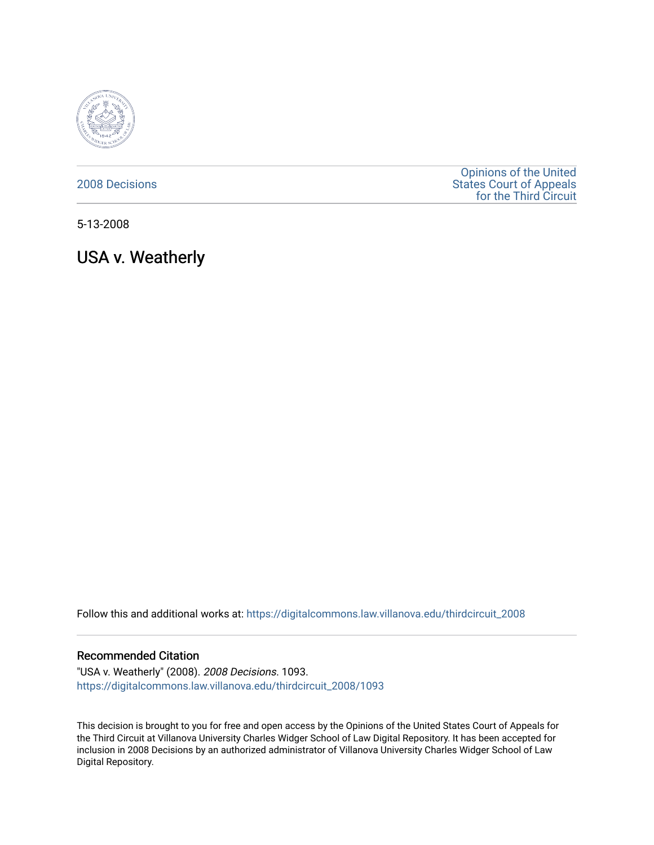

[2008 Decisions](https://digitalcommons.law.villanova.edu/thirdcircuit_2008)

[Opinions of the United](https://digitalcommons.law.villanova.edu/thirdcircuit)  [States Court of Appeals](https://digitalcommons.law.villanova.edu/thirdcircuit)  [for the Third Circuit](https://digitalcommons.law.villanova.edu/thirdcircuit) 

5-13-2008

USA v. Weatherly

Follow this and additional works at: [https://digitalcommons.law.villanova.edu/thirdcircuit\\_2008](https://digitalcommons.law.villanova.edu/thirdcircuit_2008?utm_source=digitalcommons.law.villanova.edu%2Fthirdcircuit_2008%2F1093&utm_medium=PDF&utm_campaign=PDFCoverPages) 

## Recommended Citation

"USA v. Weatherly" (2008). 2008 Decisions. 1093. [https://digitalcommons.law.villanova.edu/thirdcircuit\\_2008/1093](https://digitalcommons.law.villanova.edu/thirdcircuit_2008/1093?utm_source=digitalcommons.law.villanova.edu%2Fthirdcircuit_2008%2F1093&utm_medium=PDF&utm_campaign=PDFCoverPages) 

This decision is brought to you for free and open access by the Opinions of the United States Court of Appeals for the Third Circuit at Villanova University Charles Widger School of Law Digital Repository. It has been accepted for inclusion in 2008 Decisions by an authorized administrator of Villanova University Charles Widger School of Law Digital Repository.